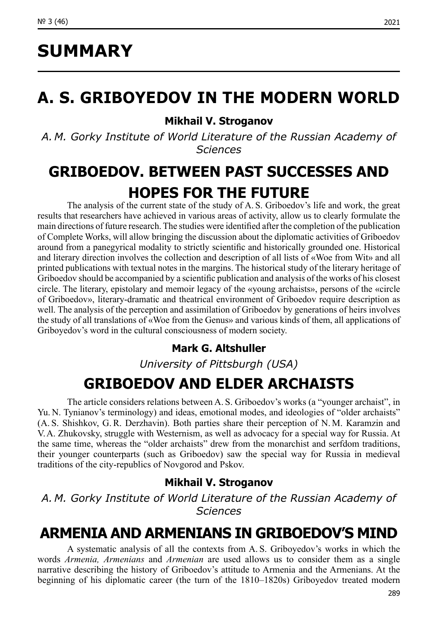# **SUMMARY**

# **A. S. GRIBOYEDOV IN THE MODERN WORLD**

### **Mikhail V. Stroganov**

*A. M. Gorky Institute of World Literature of the Russian Academy of Sciences*

### **GRIBOEDOV. BETWEEN PAST SUCCESSES AND HOPES FOR THE FUTURE**

The analysis of the current state of the study of A. S. Griboedov's life and work, the great results that researchers have achieved in various areas of activity, allow us to clearly formulate the main directions of future research. The studies were identified after the completion of the publication of Complete Works, will allow bringing the discussion about the diplomatic activities of Griboedov around from a panegyrical modality to strictly scientific and historically grounded one. Historical and literary direction involves the collection and description of all lists of «Woe from Wit» and all printed publications with textual notes in the margins. The historical study of the literary heritage of Griboedov should be accompanied by a scientific publication and analysis of the works of his closest circle. The literary, epistolary and memoir legacy of the «young archaists», persons of the «circle of Griboedov», literary-dramatic and theatrical environment of Griboedov require description as well. The analysis of the perception and assimilation of Griboedov by generations of heirs involves the study of all translations of «Woe from the Genus» and various kinds of them, all applications of Griboyedov's word in the cultural consciousness of modern society.

### **Mark G. Altshuller**

*University of Pittsburgh (USA)*

### **GRIBOEDOV AND ELDER ARCHAISTS**

The article considers relations between A. S. Griboedov's works (a "younger archaist", in Yu. N. Tynianov's terminology) and ideas, emotional modes, and ideologies of "older archaists" (A. S. Shishkov, G. R. Derzhavin). Both parties share their perception of N. M. Karamzin and V.A. Zhukovsky, struggle with Westernism, as well as advocacy for a special way for Russia. At the same time, whereas the "older archaists" drew from the monarchist and serfdom traditions, their younger counterparts (such as Griboedov) saw the special way for Russia in medieval traditions of the city-republics of Novgorod and Pskov.

### **Mikhail V. Stroganov**

*A. M. Gorky Institute of World Literature of the Russian Academy of Sciences*

### **ARMENIA AND ARMENIANS IN GRIBOEDOV'S MIND**

A systematic analysis of all the contexts from A. S. Griboyedov's works in which the words *Armenia, Armenians* and *Armenian* are used allows us to consider them as a single narrative describing the history of Griboedov's attitude to Armenia and the Armenians. At the beginning of his diplomatic career (the turn of the 1810–1820s) Griboyedov treated modern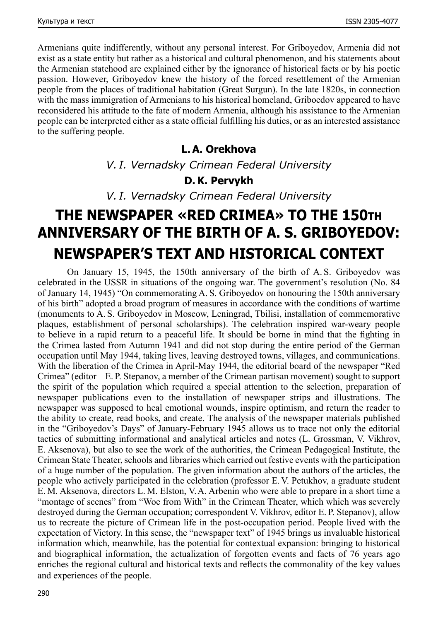Armenians quite indifferently, without any personal interest. For Griboyedov, Armenia did not exist as a state entity but rather as a historical and cultural phenomenon, and his statements about the Armenian statehood are explained either by the ignorance of historical facts or by his poetic passion. However, Griboyedov knew the history of the forced resettlement of the Armenian people from the places of traditional habitation (Great Surgun). In the late 1820s, in connection with the mass immigration of Armenians to his historical homeland, Griboedov appeared to have reconsidered his attitude to the fate of modern Armenia, although his assistance to the Armenian people can be interpreted either as a state official fulfilling his duties, or as an interested assistance to the suffering people.

### **L. A. Orekhova**

*V. I. Vernadsky Crimean Federal University*

### **D. K. Pervykh**

*V. I. Vernadsky Crimean Federal University*

# **THE NEWSPAPER «RED CRIMEA» TO THE 150th ANNIVERSARY OF THE BIRTH OF A. S. GRIBOYEDOV: NEWSPAPER'S TEXT AND HISTORICAL CONTEXT**

On January 15, 1945, the 150th anniversary of the birth of A. S. Griboyedov was celebrated in the USSR in situations of the ongoing war. The government's resolution (No. 84 of January 14, 1945) "On commemorating A. S. Griboyedov on honouring the 150th anniversary of his birth" adopted a broad program of measures in accordance with the conditions of wartime (monuments to A. S. Griboyedov in Moscow, Leningrad, Tbilisi, installation of commemorative plaques, establishment of personal scholarships). The celebration inspired war-weary people to believe in a rapid return to a peaceful life. It should be borne in mind that the fighting in the Crimea lasted from Autumn 1941 and did not stop during the entire period of the German occupation until May 1944, taking lives, leaving destroyed towns, villages, and communications. With the liberation of the Crimea in April-May 1944, the editorial board of the newspaper "Red Crimea" (editor – E. P. Stepanov, a member of the Crimean partisan movement) sought to support the spirit of the population which required a special attention to the selection, preparation of newspaper publications even to the installation of newspaper strips and illustrations. The newspaper was supposed to heal emotional wounds, inspire optimism, and return the reader to the ability to create, read books, and create. The analysis of the newspaper materials published in the "Griboyedov's Days" of January-February 1945 allows us to trace not only the editorial tactics of submitting informational and analytical articles and notes (L. Grossman, V. Vikhrov, E. Aksenova), but also to see the work of the authorities, the Crimean Pedagogical Institute, the Crimean State Theater, schools and libraries which carried out festive events with the participation of a huge number of the population. The given information about the authors of the articles, the people who actively participated in the celebration (professor E. V. Petukhov, a graduate student E. M. Aksenova, directors L. M. Elston, V.A. Arbenin who were able to prepare in a short time a "montage of scenes" from "Woe from With" in the Crimean Theater, which which was severely destroyed during the German occupation; correspondent V. Vikhrov, editor E. P. Stepanov), allow us to recreate the picture of Crimean life in the post-occupation period. People lived with the expectation of Victory. In this sense, the "newspaper text" of 1945 brings us invaluable historical information which, meanwhile, has the potential for contextual expansion: bringing to historical and biographical information, the actualization of forgotten events and facts of 76 years ago enriches the regional cultural and historical texts and reflects the commonality of the key values and experiences of the people.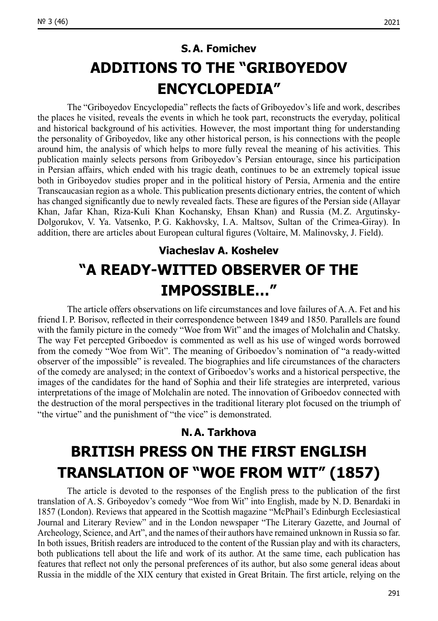### **S. A. Fomichev ADDITIONS TO THE "GRIBOYEDOV ENCYCLOPEDIA"**

The "Griboyedov Encyclopedia" reflects the facts of Griboyedov's life and work, describes the places he visited, reveals the events in which he took part, reconstructs the everyday, political and historical background of his activities. However, the most important thing for understanding the personality of Griboyedov, like any other historical person, is his connections with the people around him, the analysis of which helps to more fully reveal the meaning of his activities. This publication mainly selects persons from Griboyedov's Persian entourage, since his participation in Persian affairs, which ended with his tragic death, continues to be an extremely topical issue both in Griboyedov studies proper and in the political history of Persia, Armenia and the entire Transcaucasian region as a whole. This publication presents dictionary entries, the content of which has changed significantly due to newly revealed facts. These are figures of the Persian side (Allayar Khan, Jafar Khan, Riza-Kuli Khan Kochansky, Ehsan Khan) and Russia (M. Z. Argutinsky-Dolgorukov, V. Ya. Vatsenko, P. G. Kakhovsky, I.A. Maltsov, Sultan of the Crimea-Giray). In addition, there are articles about European cultural figures (Voltaire, M. Malinovsky, J. Field).

### **Viacheslav A. Koshelev "A READY-WITTED OBSERVER OF THE IMPOSSIBLE…"**

The article offers observations on life circumstances and love failures of A.A. Fet and his friend I. P. Borisov, reflected in their correspondence between 1849 and 1850. Parallels are found with the family picture in the comedy "Woe from Wit" and the images of Molchalin and Chatsky. The way Fet percepted Griboedov is commented as well as his use of winged words borrowed from the comedy "Woe from Wit". The meaning of Griboedov's nomination of "a ready-witted observer of the impossible" is revealed. The biographies and life circumstances of the characters of the comedy are analysed; in the context of Griboedov's works and a historical perspective, the images of the candidates for the hand of Sophia and their life strategies are interpreted, various interpretations of the image of Molchalin are noted. The innovation of Griboedov connected with the destruction of the moral perspectives in the traditional literary plot focused on the triumph of "the virtue" and the punishment of "the vice" is demonstrated.

## **N. A. Tarkhova BRITISH PRESS ON THE FIRST ENGLISH TRANSLATION OF "WOE FROM WIT" (1857)**

The article is devoted to the responses of the English press to the publication of the first translation of A. S. Griboyedov's comedy "Woe from Wit" into English, made by N. D. Benardaki in 1857 (London). Reviews that appeared in the Scottish magazine "McPhail's Edinburgh Ecclesiastical Journal and Literary Review" and in the London newspaper "The Literary Gazette, and Journal of Archeology, Science, and Art", and the names of their authors have remained unknown in Russia so far. In both issues, British readers are introduced to the content of the Russian play and with its characters, both publications tell about the life and work of its author. At the same time, each publication has features that reflect not only the personal preferences of its author, but also some general ideas about Russia in the middle of the XIX century that existed in Great Britain. The first article, relying on the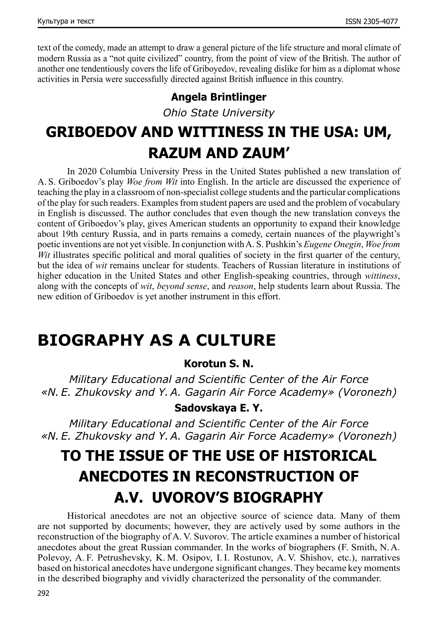text of the comedy, made an attempt to draw a general picture of the life structure and moral climate of modern Russia as a "not quite civilized" country, from the point of view of the British. The author of another one tendentiously covers the life of Griboyedov, revealing dislike for him as a diplomat whose activities in Persia were successfully directed against British influence in this country.

### **Angela Brintlinger**

*Ohio State University*

# **GRIBOEDOV AND WITTINESS IN THE USA: UM, RAZUM AND ZAUM'**

In 2020 Columbia University Press in the United States published a new translation of A. S. Griboedov's play *Woe from Wit* into English. In the article are discussed the experience of teaching the play in a classroom of non-specialist college students and the particular complications of the play for such readers. Examples from student papers are used and the problem of vocabulary in English is discussed. The author concludes that even though the new translation conveys the content of Griboedov's play, gives American students an opportunity to expand their knowledge about 19th century Russia, and in parts remains a comedy, certain nuances of the playwright's poetic inventions are not yet visible. In conjunction with A. S. Pushkin's *Eugene Onegin*, *Woe from Wit* illustrates specific political and moral qualities of society in the first quarter of the century, but the idea of *wit* remains unclear for students. Teachers of Russian literature in institutions of higher education in the United States and other English-speaking countries, through *wittiness*, along with the concepts of *wit*, *beyond sense*, and *reason*, help students learn about Russia. The new edition of Griboedov is yet another instrument in this effort.

### **BIOGRAPHY AS A CULTURE**

### **Korotun S. N.**

*Military Educational and Scientific Center of the Air Force «N. E. Zhukovsky and Y.A. Gagarin Air Force Academy» (Voronezh)*

### **Sadovskaya E. Y.**

*Military Educational and Scientific Center of the Air Force «N. E. Zhukovsky and Y.A. Gagarin Air Force Academy» (Voronezh)*

# **TO THE ISSUE OF THE USE OF HISTORICAL ANECDOTES IN RECONSTRUCTION OF A.V. UVOROV'S BIOGRAPHY**

Historical anecdotes are not an objective source of science data. Many of them are not supported by documents; however, they are actively used by some authors in the reconstruction of the biography of A. V. Suvorov. The article examines a number of historical anecdotes about the great Russian commander. In the works of biographers (F. Smith, N.A. Polevoy, A. F. Petrushevsky, K. M. Osipov, I. I. Rostunov, A. V. Shishov, etc.), narratives based on historical anecdotes have undergone significant changes. They became key moments in the described biography and vividly characterized the personality of the commander.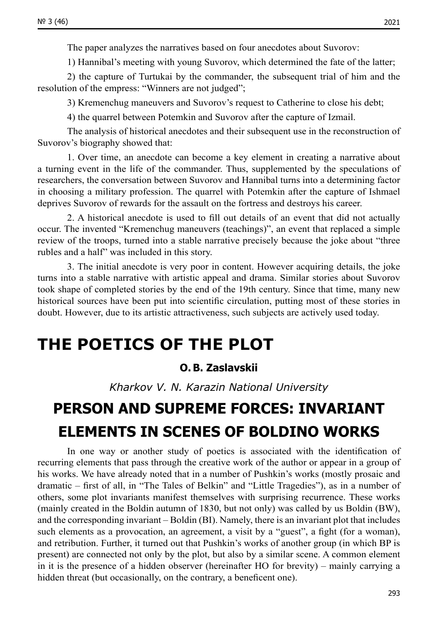1) Hannibal's meeting with young Suvorov, which determined the fate of the latter;

2) the capture of Turtukai by the commander, the subsequent trial of him and the resolution of the empress: "Winners are not judged";

3) Kremenchug maneuvers and Suvorov's request to Catherine to close his debt;

4) the quarrel between Potemkin and Suvorov after the capture of Izmail.

The analysis of historical anecdotes and their subsequent use in the reconstruction of Suvorov's biography showed that:

1. Over time, an anecdote can become a key element in creating a narrative about a turning event in the life of the commander. Thus, supplemented by the speculations of researchers, the conversation between Suvorov and Hannibal turns into a determining factor in choosing a military profession. The quarrel with Potemkin after the capture of Ishmael deprives Suvorov of rewards for the assault on the fortress and destroys his career.

2. A historical anecdote is used to fill out details of an event that did not actually occur. The invented "Kremenchug maneuvers (teachings)", an event that replaced a simple review of the troops, turned into a stable narrative precisely because the joke about "three rubles and a half" was included in this story.

3. The initial anecdote is very poor in content. However acquiring details, the joke turns into a stable narrative with artistic appeal and drama. Similar stories about Suvorov took shape of completed stories by the end of the 19th century. Since that time, many new historical sources have been put into scientific circulation, putting most of these stories in doubt. However, due to its artistic attractiveness, such subjects are actively used today.

## **THE POETICS OF THE PLOT**

### **O. B. Zaslavskii**

*Kharkov V. N. Karazin National University*

# **PERSON AND SUPREME FORCES: INVARIANT ELEMENTS IN SCENES OF BOLDINO WORKS**

In one way or another study of poetics is associated with the identification of recurring elements that pass through the creative work of the author or appear in a group of his works. We have already noted that in a number of Pushkin's works (mostly prosaic and dramatic – first of all, in "The Tales of Belkin" and "Little Tragedies"), as in a number of others, some plot invariants manifest themselves with surprising recurrence. These works (mainly created in the Boldin autumn of 1830, but not only) was called by us Boldin (BW), and the corresponding invariant – Boldin (BI). Namely, there is an invariant plot that includes such elements as a provocation, an agreement, a visit by a "guest", a fight (for a woman), and retribution. Further, it turned out that Pushkin's works of another group (in which BP is present) are connected not only by the plot, but also by a similar scene. A common element in it is the presence of a hidden observer (hereinafter HO for brevity) – mainly carrying a hidden threat (but occasionally, on the contrary, a beneficent one).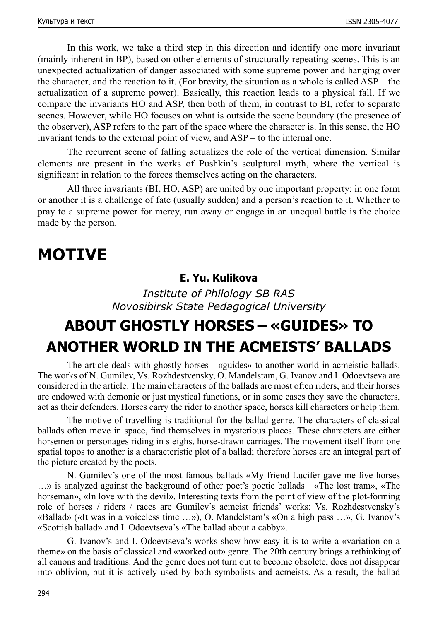In this work, we take a third step in this direction and identify one more invariant (mainly inherent in BP), based on other elements of structurally repeating scenes. This is an unexpected actualization of danger associated with some supreme power and hanging over the character, and the reaction to it. (For brevity, the situation as a whole is called ASP – the actualization of a supreme power). Basically, this reaction leads to a physical fall. If we compare the invariants HO and ASP, then both of them, in contrast to BI, refer to separate scenes. However, while HO focuses on what is outside the scene boundary (the presence of the observer), ASP refers to the part of the space where the character is. In this sense, the HO invariant tends to the external point of view, and ASP – to the internal one.

The recurrent scene of falling actualizes the role of the vertical dimension. Similar elements are present in the works of Pushkin's sculptural myth, where the vertical is significant in relation to the forces themselves acting on the characters.

All three invariants (BI, HO, ASP) are united by one important property: in one form or another it is a challenge of fate (usually sudden) and a person's reaction to it. Whether to pray to a supreme power for mercy, run away or engage in an unequal battle is the choice made by the person.

### **MOTIVE**

### **E. Yu. Kulikova**

*Institute of Philology SB RAS Novosibirsk State Pedagogical University*

# **ABOUT GHOSTLY HORSES – «GUIDES» TO ANOTHER WORLD IN THE ACMEISTS' BALLADS**

The article deals with ghostly horses – «guides» to another world in acmeistic ballads. The works of N. Gumilev, Vs. Rozhdestvensky, O. Mandelstam, G. Ivanov and I. Odoevtseva are considered in the article. The main characters of the ballads are most often riders, and their horses are endowed with demonic or just mystical functions, or in some cases they save the characters, act as their defenders. Horses carry the rider to another space, horses kill characters or help them.

The motive of travelling is traditional for the ballad genre. The characters of classical ballads often move in space, find themselves in mysterious places. These characters are either horsemen or personages riding in sleighs, horse-drawn carriages. The movement itself from one spatial topos to another is a characteristic plot of a ballad; therefore horses are an integral part of the picture created by the poets.

N. Gumilev's one of the most famous ballads «My friend Lucifer gave me five horses …» is analyzed against the background of other poet's poetic ballads – «The lost tram», «The horseman», «In love with the devil». Interesting texts from the point of view of the plot-forming role of horses / riders / races are Gumilev's acmeist friends' works: Vs. Rozhdestvensky's «Ballad» («It was in a voiceless time …»), O. Mandelstam's «On a high pass …», G. Ivanov's «Scottish ballad» and I. Odoevtseva's «The ballad about a cabby».

G. Ivanov's and I. Odoevtseva's works show how easy it is to write a «variation on a theme» on the basis of classical and «worked out» genre. The 20th century brings a rethinking of all canons and traditions. And the genre does not turn out to become obsolete, does not disappear into oblivion, but it is actively used by both symbolists and acmeists. As a result, the ballad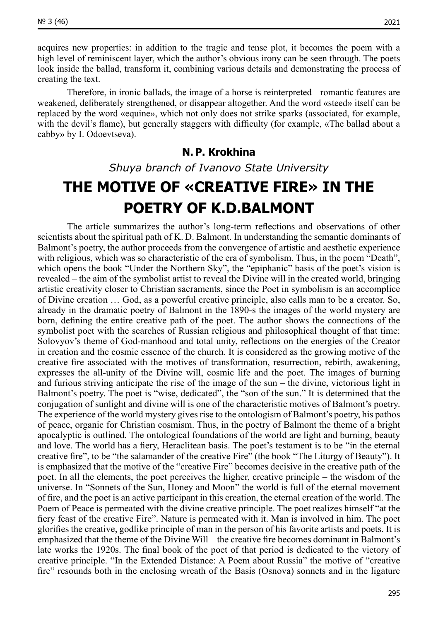acquires new properties: in addition to the tragic and tense plot, it becomes the poem with a high level of reminiscent layer, which the author's obvious irony can be seen through. The poets look inside the ballad, transform it, combining various details and demonstrating the process of creating the text.

Therefore, in ironic ballads, the image of a horse is reinterpreted – romantic features are weakened, deliberately strengthened, or disappear altogether. And the word «steed» itself can be replaced by the word «equine», which not only does not strike sparks (associated, for example, with the devil's flame), but generally staggers with difficulty (for example, «The ballad about a cabby» by I. Odoevtseva).

#### **N. P. Krokhina**

*Shuya branch of Ivanovo State University*

# **THE MOTIVE OF «CREATIVE FIRE» IN THE POETRY OF K.D.BALMONT**

The article summarizes the author's long-term reflections and observations of other scientists about the spiritual path of K. D. Balmont. In understanding the semantic dominants of Balmont's poetry, the author proceeds from the convergence of artistic and aesthetic experience with religious, which was so characteristic of the era of symbolism. Thus, in the poem "Death", which opens the book "Under the Northern Sky", the "epiphanic" basis of the poet's vision is revealed – the aim of the symbolist artist to reveal the Divine will in the created world, bringing artistic creativity closer to Christian sacraments, since the Poet in symbolism is an accomplice of Divine creation … God, as a powerful creative principle, also calls man to be a creator. So, already in the dramatic poetry of Balmont in the 1890‑s the images of the world mystery are born, defining the entire creative path of the poet. The author shows the connections of the symbolist poet with the searches of Russian religious and philosophical thought of that time: Solovyov's theme of God-manhood and total unity, reflections on the energies of the Creator in creation and the cosmic essence of the church. It is considered as the growing motive of the creative fire associated with the motives of transformation, resurrection, rebirth, awakening, expresses the all-unity of the Divine will, cosmic life and the poet. The images of burning and furious striving anticipate the rise of the image of the sun – the divine, victorious light in Balmont's poetry. The poet is "wise, dedicated", the "son of the sun." It is determined that the conjugation of sunlight and divine will is one of the characteristic motives of Balmont's poetry. The experience of the world mystery gives rise to the ontologism of Balmont's poetry, his pathos of peace, organic for Christian cosmism. Thus, in the poetry of Balmont the theme of a bright apocalyptic is outlined. The ontological foundations of the world are light and burning, beauty and love. The world has a fiery, Heraclitean basis. The poet's testament is to be "in the eternal creative fire", to be "the salamander of the creative Fire" (the book "The Liturgy of Beauty"). It is emphasized that the motive of the "creative Fire" becomes decisive in the creative path of the poet. In all the elements, the poet perceives the higher, creative principle – the wisdom of the universe. In "Sonnets of the Sun, Honey and Moon" the world is full of the eternal movement of fire, and the poet is an active participant in this creation, the eternal creation of the world. The Poem of Peace is permeated with the divine creative principle. The poet realizes himself "at the fiery feast of the creative Fire". Nature is permeated with it. Man is involved in him. The poet glorifies the creative, godlike principle of man in the person of his favorite artists and poets. It is emphasized that the theme of the Divine Will – the creative fire becomes dominant in Balmont's late works the 1920s. The final book of the poet of that period is dedicated to the victory of creative principle. "In the Extended Distance: A Poem about Russia" the motive of "creative fire" resounds both in the enclosing wreath of the Basis (Osnova) sonnets and in the ligature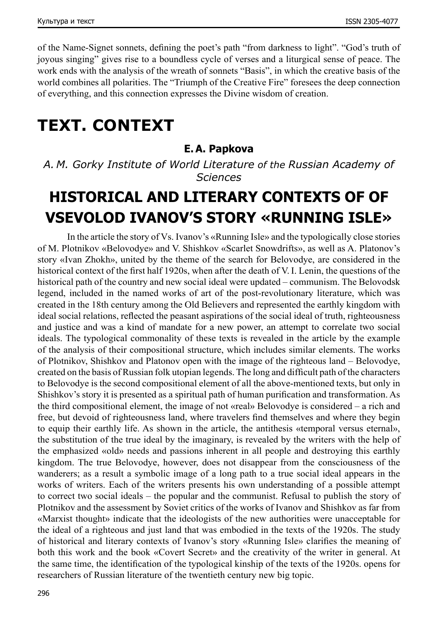of the Name-Signet sonnets, defining the poet's path "from darkness to light". "God's truth of joyous singing" gives rise to a boundless cycle of verses and a liturgical sense of peace. The work ends with the analysis of the wreath of sonnets "Basis", in which the creative basis of the world combines all polarities. The "Triumph of the Creative Fire" foresees the deep connection of everything, and this connection expresses the Divine wisdom of creation.

# **TEXT. CONTEXT**

#### **E. A. Papkova**

*A. M. Gorky Institute of World Literature of the Russian Academy of Sciences*

# **HISTORICAL AND LITERARY CONTEXTS OF OF VSEVOLOD IVANOV'S STORY «RUNNING ISLE»**

In the article the story of Vs. Ivanov's «Running Isle» and the typologically close stories of M. Plotnikov «Belovodye» and V. Shishkov «Scarlet Snowdrifts», as well as A. Platonov's story «Ivan Zhokh», united by the theme of the search for Belovodye, are considered in the historical context of the first half 1920s, when after the death of V.I. Lenin, the questions of the historical path of the country and new social ideal were updated – communism. The Belovodsk legend, included in the named works of art of the post-revolutionary literature, which was created in the 18th century among the Old Believers and represented the earthly kingdom with ideal social relations, reflected the peasant aspirations of the social ideal of truth, righteousness and justice and was a kind of mandate for a new power, an attempt to correlate two social ideals. The typological commonality of these texts is revealed in the article by the example of the analysis of their compositional structure, which includes similar elements. The works of Plotnikov, Shishkov and Platonov open with the image of the righteous land – Belovodye, created on the basis of Russian folk utopian legends. The long and difficult path of the characters to Belovodye is the second compositional element of all the above-mentioned texts, but only in Shishkov's story it is presented as a spiritual path of human purification and transformation. As the third compositional element, the image of not «real» Belovodye is considered – a rich and free, but devoid of righteousness land, where travelers find themselves and where they begin to equip their earthly life. As shown in the article, the antithesis «temporal versus eternal», the substitution of the true ideal by the imaginary, is revealed by the writers with the help of the emphasized «old» needs and passions inherent in all people and destroying this earthly kingdom. The true Belovodye, however, does not disappear from the consciousness of the wanderers; as a result a symbolic image of a long path to a true social ideal appears in the works of writers. Each of the writers presents his own understanding of a possible attempt to correct two social ideals – the popular and the communist. Refusal to publish the story of Plotnikov and the assessment by Soviet critics of the works of Ivanov and Shishkov as far from «Marxist thought» indicate that the ideologists of the new authorities were unacceptable for the ideal of a righteous and just land that was embodied in the texts of the 1920s. The study of historical and literary contexts of Ivanov's story «Running Isle» clarifies the meaning of both this work and the book «Covert Secret» and the creativity of the writer in general. At the same time, the identification of the typological kinship of the texts of the 1920s. opens for researchers of Russian literature of the twentieth century new big topic.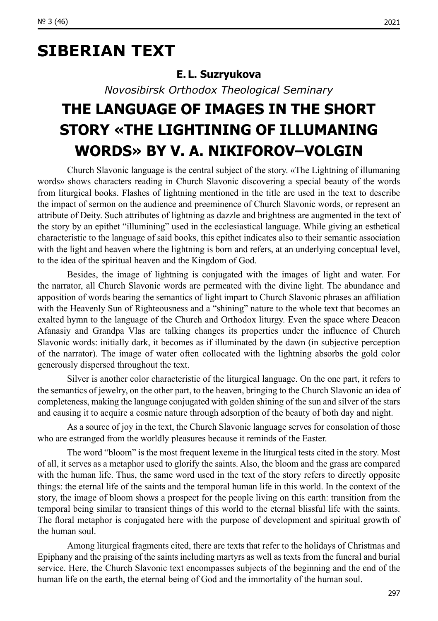# **SIBERIAN TEXT**

### **E. L. Suzryukova**

*Novosibirsk Orthodox Theological Seminary*

# **THE LANGUAGE OF IMAGES IN THE SHORT STORY «THE LIGHTINING OF ILLUMANING WORDS» BY V. A. NIKIFOROV–VOLGIN**

Church Slavonic language is the central subject of the story. «The Lightning of illumaning words» shows characters reading in Church Slavonic discovering a special beauty of the words from liturgical books. Flashes of lightning mentioned in the title are used in the text to describe the impact of sermon on the audience and preeminence of Church Slavonic words, or represent an attribute of Deity. Such attributes of lightning as dazzle and brightness are augmented in the text of the story by an epithet "illumining" used in the ecclesiastical language. While giving an esthetical characteristic to the language of said books, this epithet indicates also to their semantic association with the light and heaven where the lightning is born and refers, at an underlying conceptual level. to the idea of the spiritual heaven and the Kingdom of God.

Besides, the image of lightning is conjugated with the images of light and water. For the narrator, all Church Slavonic words are permeated with the divine light. The abundance and apposition of words bearing the semantics of light impart to Church Slavonic phrases an affiliation with the Heavenly Sun of Righteousness and a "shining" nature to the whole text that becomes an exalted hymn to the language of the Church and Orthodox liturgy. Even the space where Deacon Afanasiy and Grandpa Vlas are talking changes its properties under the influence of Church Slavonic words: initially dark, it becomes as if illuminated by the dawn (in subjective perception of the narrator). The image of water often collocated with the lightning absorbs the gold color generously dispersed throughout the text.

Silver is another color characteristic of the liturgical language. On the one part, it refers to the semantics of jewelry, on the other part, to the heaven, bringing to the Church Slavonic an idea of completeness, making the language conjugated with golden shining of the sun and silver of the stars and causing it to acquire a cosmic nature through adsorption of the beauty of both day and night.

As a source of joy in the text, the Church Slavonic language serves for consolation of those who are estranged from the worldly pleasures because it reminds of the Easter.

The word "bloom" is the most frequent lexeme in the liturgical tests cited in the story. Most of all, it serves as a metaphor used to glorify the saints. Also, the bloom and the grass are compared with the human life. Thus, the same word used in the text of the story refers to directly opposite things: the eternal life of the saints and the temporal human life in this world. In the context of the story, the image of bloom shows a prospect for the people living on this earth: transition from the temporal being similar to transient things of this world to the eternal blissful life with the saints. The floral metaphor is conjugated here with the purpose of development and spiritual growth of the human soul.

Among liturgical fragments cited, there are texts that refer to the holidays of Christmas and Epiphany and the praising of the saints including martyrs as well as texts from the funeral and burial service. Here, the Church Slavonic text encompasses subjects of the beginning and the end of the human life on the earth, the eternal being of God and the immortality of the human soul.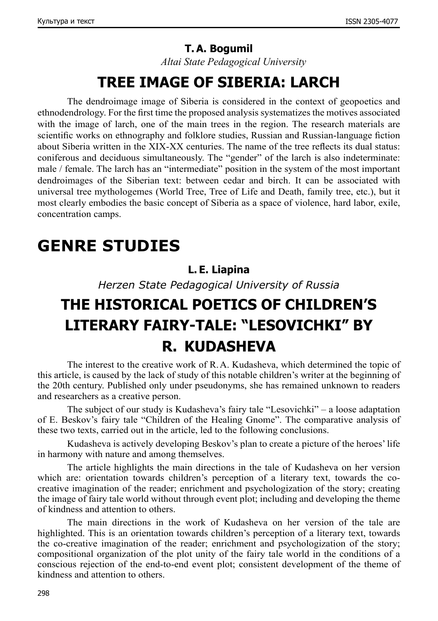#### **T. A. Bogumil**

*Altai State Pedagogical University*

### **TREE IMAGE OF SIBERIA: LARCH**

The dendroimage image of Siberia is considered in the context of geopoetics and ethnodendrology. For the first time the proposed analysis systematizes the motives associated with the image of larch, one of the main trees in the region. The research materials are scientific works on ethnography and folklore studies, Russian and Russian-language fiction about Siberia written in the XIX-XX centuries. The name of the tree reflects its dual status: coniferous and deciduous simultaneously. The "gender" of the larch is also indeterminate: male / female. The larch has an "intermediate" position in the system of the most important dendroimages of the Siberian text: between cedar and birch. It can be associated with universal tree mythologemes (World Tree, Tree of Life and Death, family tree, etc.), but it most clearly embodies the basic concept of Siberia as a space of violence, hard labor, exile, concentration camps.

# **GENRE STUDIES**

#### **L. E. Liapina**

*Herzen State Pedagogical University of Russia*

# **THE HISTORICAL POETICS OF CHILDREN'S LITERARY FAIRY-TALE: "LESOVICHKI" BY R. KUDASHEVA**

The interest to the creative work of R.A. Kudasheva, which determined the topic of this article, is caused by the lack of study of this notable children's writer at the beginning of the 20th century. Published only under pseudonyms, she has remained unknown to readers and researchers as a creative person.

The subject of our study is Kudasheva's fairy tale "Lesovichki" – a loose adaptation of E. Beskov's fairy tale "Children of the Healing Gnome". The comparative analysis of these two texts, carried out in the article, led to the following conclusions.

Kudasheva is actively developing Beskov's plan to create a picture of the heroes' life in harmony with nature and among themselves.

The article highlights the main directions in the tale of Kudasheva on her version which are: orientation towards children's perception of a literary text, towards the cocreative imagination of the reader; enrichment and psychologization of the story; creating the image of fairy tale world without through event plot; including and developing the theme of kindness and attention to others.

The main directions in the work of Kudasheva on her version of the tale are highlighted. This is an orientation towards children's perception of a literary text, towards the co-creative imagination of the reader; enrichment and psychologization of the story; compositional organization of the plot unity of the fairy tale world in the conditions of a conscious rejection of the end-to-end event plot; consistent development of the theme of kindness and attention to others.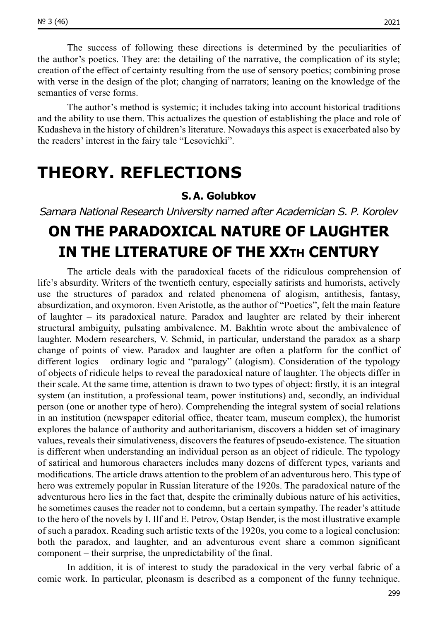The success of following these directions is determined by the peculiarities of the author's poetics. They are: the detailing of the narrative, the complication of its style; creation of the effect of certainty resulting from the use of sensory poetics; combining prose with verse in the design of the plot; changing of narrators; leaning on the knowledge of the semantics of verse forms.

The author's method is systemic; it includes taking into account historical traditions and the ability to use them. This actualizes the question of establishing the place and role of Kudasheva in the history of children's literature. Nowadays this aspect is exacerbated also by the readers' interest in the fairy tale "Lesovichki".

### **THEORY. REFLECTIONS**

### **S. A. Golubkov**

#### *Samara National Research University named after Academician S. P. Korolev*

# **ON THE PARADOXICAL NATURE OF LAUGHTER IN THE LITERATURE OF THE XXTH CENTURY**

The article deals with the paradoxical facets of the ridiculous comprehension of life's absurdity. Writers of the twentieth century, especially satirists and humorists, actively use the structures of paradox and related phenomena of alogism, antithesis, fantasy, absurdization, and oxymoron. Even Aristotle, as the author of "Poetics", felt the main feature of laughter – its paradoxical nature. Paradox and laughter are related by their inherent structural ambiguity, pulsating ambivalence. M. Bakhtin wrote about the ambivalence of laughter. Modern researchers, V. Schmid, in particular, understand the paradox as a sharp change of points of view. Paradox and laughter are often a platform for the conflict of different logics – ordinary logic and "paralogy" (alogism). Consideration of the typology of objects of ridicule helps to reveal the paradoxical nature of laughter. The objects differ in their scale. At the same time, attention is drawn to two types of object: firstly, it is an integral system (an institution, a professional team, power institutions) and, secondly, an individual person (one or another type of hero). Comprehending the integral system of social relations in an institution (newspaper editorial office, theater team, museum complex), the humorist explores the balance of authority and authoritarianism, discovers a hidden set of imaginary values, reveals their simulativeness, discovers the features of pseudo-existence. The situation is different when understanding an individual person as an object of ridicule. The typology of satirical and humorous characters includes many dozens of different types, variants and modifications. The article draws attention to the problem of an adventurous hero. This type of hero was extremely popular in Russian literature of the 1920s. The paradoxical nature of the adventurous hero lies in the fact that, despite the criminally dubious nature of his activities, he sometimes causes the reader not to condemn, but a certain sympathy. The reader's attitude to the hero of the novels by I. Ilf and E. Petrov, Ostap Bender, is the most illustrative example of such a paradox. Reading such artistic texts of the 1920s, you come to a logical conclusion: both the paradox, and laughter, and an adventurous event share a common significant component – their surprise, the unpredictability of the final.

In addition, it is of interest to study the paradoxical in the very verbal fabric of a comic work. In particular, pleonasm is described as a component of the funny technique.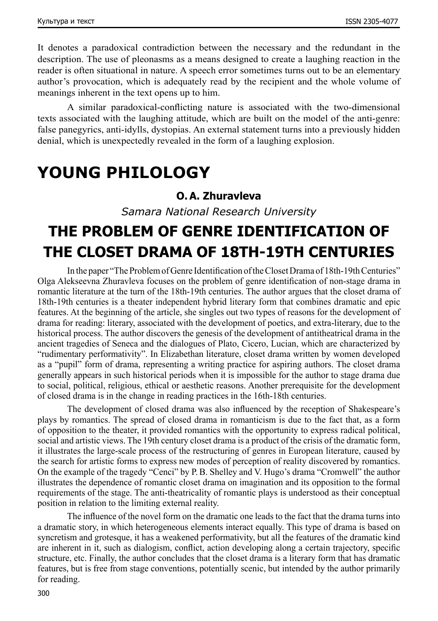It denotes a paradoxical contradiction between the necessary and the redundant in the description. The use of pleonasms as a means designed to create a laughing reaction in the reader is often situational in nature. A speech error sometimes turns out to be an elementary author's provocation, which is adequately read by the recipient and the whole volume of meanings inherent in the text opens up to him.

A similar paradoxical-conflicting nature is associated with the two-dimensional texts associated with the laughing attitude, which are built on the model of the anti-genre: false panegyrics, anti-idylls, dystopias. An external statement turns into a previously hidden denial, which is unexpectedly revealed in the form of a laughing explosion.

### **YOUNG PHILOLOGY**

### **O. A. Zhuravleva**

*Samara National Research University*

# **THE PROBLEM OF GENRE IDENTIFICATION OF THE CLOSET DRAMA OF 18TH‑19TH CENTURIES**

In the paper "The Problem of Genre Identification of the Closet Drama of 18th-19th Centuries" Olga Alekseevna Zhuravleva focuses on the problem of genre identification of non-stage drama in romantic literature at the turn of the 18th–19th centuries. The author argues that the closet drama of 18th‑19th centuries is a theater independent hybrid literary form that combines dramatic and epic features. At the beginning of the article, she singles out two types of reasons for the development of drama for reading: literary, associated with the development of poetics, and extra-literary, due to the historical process. The author discovers the genesis of the development of antitheatrical drama in the ancient tragedies of Seneca and the dialogues of Plato, Cicero, Lucian, which are characterized by "rudimentary performativity". In Elizabethan literature, closet drama written by women developed as a "pupil" form of drama, representing a writing practice for aspiring authors. The closet drama generally appears in such historical periods when it is impossible for the author to stage drama due to social, political, religious, ethical or aesthetic reasons. Another prerequisite for the development of closed drama is in the change in reading practices in the 16th‑18th centuries.

The development of closed drama was also influenced by the reception of Shakespeare's plays by romantics. The spread of closed drama in romanticism is due to the fact that, as a form of opposition to the theater, it provided romantics with the opportunity to express radical political, social and artistic views. The 19th century closet drama is a product of the crisis of the dramatic form, it illustrates the large-scale process of the restructuring of genres in European literature, caused by the search for artistic forms to express new modes of perception of reality discovered by romantics. On the example of the tragedy "Cenci" by P.B. Shelley and V. Hugo's drama "Cromwell" the author illustrates the dependence of romantic closet drama on imagination and its opposition to the formal requirements of the stage. The anti-theatricality of romantic plays is understood as their conceptual position in relation to the limiting external reality.

The influence of the novel form on the dramatic one leads to the fact that the drama turns into a dramatic story, in which heterogeneous elements interact equally. This type of drama is based on syncretism and grotesque, it has a weakened performativity, but all the features of the dramatic kind are inherent in it, such as dialogism, conflict, action developing along a certain trajectory, specific structure, etc. Finally, the author concludes that the closet drama is a literary form that has dramatic features, but is free from stage conventions, potentially scenic, but intended by the author primarily for reading.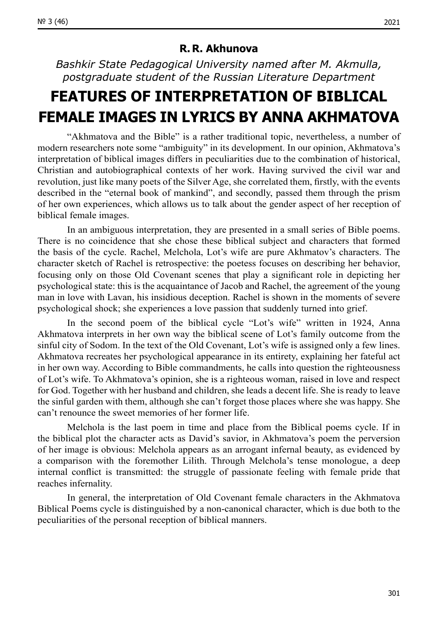#### **R. R. Akhunova**

*Bashkir State Pedagogical University named after M. Akmulla, postgraduate student of the Russian Literature Department*

# **FEATURES OF INTERPRETATION OF BIBLICAL FEMALE IMAGES IN LYRICS BY ANNA AKHMATOVA**

"Akhmatova and the Bible" is a rather traditional topic, nevertheless, a number of modern researchers note some "ambiguity" in its development. In our opinion, Akhmatova's interpretation of biblical images differs in peculiarities due to the combination of historical, Christian and autobiographical contexts of her work. Having survived the civil war and revolution, just like many poets of the Silver Age, she correlated them, firstly, with the events described in the "eternal book of mankind", and secondly, passed them through the prism of her own experiences, which allows us to talk about the gender aspect of her reception of biblical female images.

In an ambiguous interpretation, they are presented in a small series of Bible poems. There is no coincidence that she chose these biblical subject and characters that formed the basis of the cycle. Rachel, Melchola, Lot's wife are pure Akhmatov's characters. The character sketch of Rachel is retrospective: the poetess focuses on describing her behavior, focusing only on those Old Covenant scenes that play a significant role in depicting her psychological state: this is the acquaintance of Jacob and Rachel, the agreement of the young man in love with Lavan, his insidious deception. Rachel is shown in the moments of severe psychological shock; she experiences a love passion that suddenly turned into grief.

In the second poem of the biblical cycle "Lot's wife" written in 1924, Anna Akhmatova interprets in her own way the biblical scene of Lot's family outcome from the sinful city of Sodom. In the text of the Old Covenant, Lot's wife is assigned only a few lines. Akhmatova recreates her psychological appearance in its entirety, explaining her fateful act in her own way. According to Bible commandments, he calls into question the righteousness of Lot's wife. To Akhmatova's opinion, she is a righteous woman, raised in love and respect for God. Together with her husband and children, she leads a decent life. She is ready to leave the sinful garden with them, although she can't forget those places where she was happy. She can't renounce the sweet memories of her former life.

Melchola is the last poem in time and place from the Biblical poems cycle. If in the biblical plot the character acts as David's savior, in Akhmatova's poem the perversion of her image is obvious: Melchola appears as an arrogant infernal beauty, as evidenced by a comparison with the foremother Lilith. Through Melchola's tense monologue, a deep internal conflict is transmitted: the struggle of passionate feeling with female pride that reaches infernality.

In general, the interpretation of Old Covenant female characters in the Akhmatova Biblical Poems cycle is distinguished by a non-canonical character, which is due both to the peculiarities of the personal reception of biblical manners.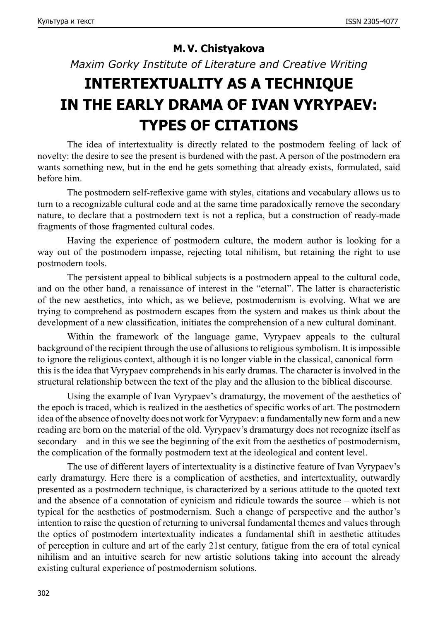### **M. V. Chistyakova**

*Maxim Gorky Institute of Literature and Creative Writing*

# **INTERTEXTUALITY AS A TECHNIQUE IN THE EARLY DRAMA OF IVAN VYRYPAEV: TYPES OF CITATIONS**

The idea of intertextuality is directly related to the postmodern feeling of lack of novelty: the desire to see the present is burdened with the past. A person of the postmodern era wants something new, but in the end he gets something that already exists, formulated, said before him.

The postmodern self-reflexive game with styles, citations and vocabulary allows us to turn to a recognizable cultural code and at the same time paradoxically remove the secondary nature, to declare that a postmodern text is not a replica, but a construction of ready-made fragments of those fragmented cultural codes.

Having the experience of postmodern culture, the modern author is looking for a way out of the postmodern impasse, rejecting total nihilism, but retaining the right to use postmodern tools.

The persistent appeal to biblical subjects is a postmodern appeal to the cultural code, and on the other hand, a renaissance of interest in the "eternal". The latter is characteristic of the new aesthetics, into which, as we believe, postmodernism is evolving. What we are trying to comprehend as postmodern escapes from the system and makes us think about the development of a new classification, initiates the comprehension of a new cultural dominant.

Within the framework of the language game, Vyrypaev appeals to the cultural background of the recipient through the use of allusions to religious symbolism. It is impossible to ignore the religious context, although it is no longer viable in the classical, canonical form – this is the idea that Vyrypaev comprehends in his early dramas. The character is involved in the structural relationship between the text of the play and the allusion to the biblical discourse.

Using the example of Ivan Vyrypaev's dramaturgy, the movement of the aesthetics of the epoch is traced, which is realized in the aesthetics of specific works of art. The postmodern idea of the absence of novelty does not work for Vyrypaev: a fundamentally new form and a new reading are born on the material of the old. Vyrypaev's dramaturgy does not recognize itself as secondary – and in this we see the beginning of the exit from the aesthetics of postmodernism, the complication of the formally postmodern text at the ideological and content level.

The use of different layers of intertextuality is a distinctive feature of Ivan Vyrypaev's early dramaturgy. Here there is a complication of aesthetics, and intertextuality, outwardly presented as a postmodern technique, is characterized by a serious attitude to the quoted text and the absence of a connotation of cynicism and ridicule towards the source – which is not typical for the aesthetics of postmodernism. Such a change of perspective and the author's intention to raise the question of returning to universal fundamental themes and values through the optics of postmodern intertextuality indicates a fundamental shift in aesthetic attitudes of perception in culture and art of the early 21st century, fatigue from the era of total cynical nihilism and an intuitive search for new artistic solutions taking into account the already existing cultural experience of postmodernism solutions.